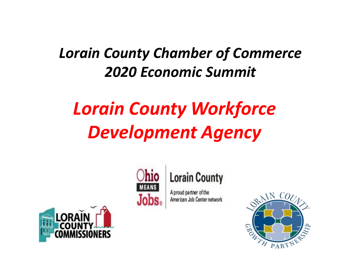#### *Lorain County Chamber of Commerce 2020 Economic Summit*

### *Lorain County Workforce Development Agency*





A proud partner of the American Job Center network



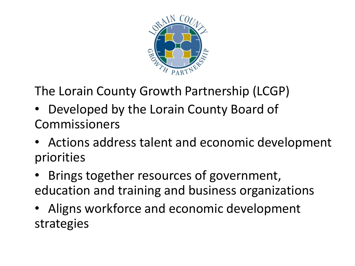

The Lorain County Growth Partnership (LCGP)

- Developed by the Lorain County Board of Commissioners
- Actions address talent and economic development priorities
- Brings together resources of government, education and training and business organizations
- Aligns workforce and economic development strategies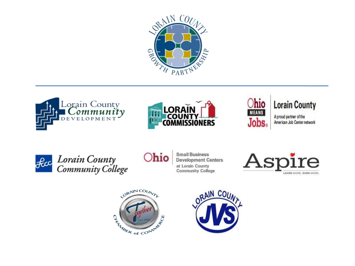







**Lorain County** 

A proud partner of the American Job Center network



fece Lorain County<br>Community College

**hio** 

**Small Business Development Centers** at Lorain County **Community College** 





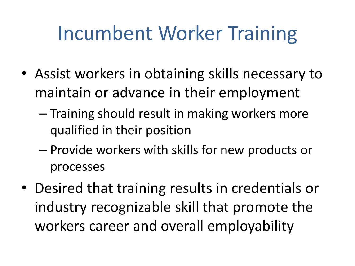## Incumbent Worker Training

- Assist workers in obtaining skills necessary to maintain or advance in their employment
	- Training should result in making workers more qualified in their position
	- Provide workers with skills for new products or processes
- Desired that training results in credentials or industry recognizable skill that promote the workers career and overall employability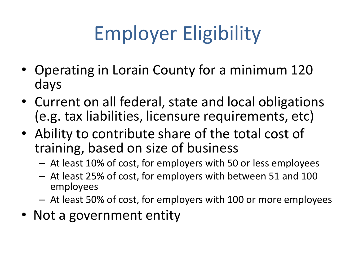# Employer Eligibility

- Operating in Lorain County for a minimum 120 days
- Current on all federal, state and local obligations (e.g. tax liabilities, licensure requirements, etc)
- Ability to contribute share of the total cost of training, based on size of business
	- At least 10% of cost, for employers with 50 or less employees
	- At least 25% of cost, for employers with between 51 and 100 employees
	- At least 50% of cost, for employers with 100 or more employees
- Not a government entity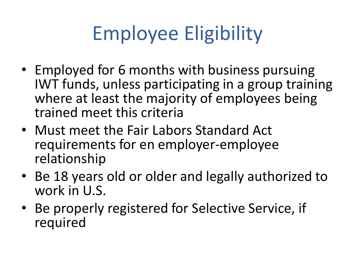# Employee Eligibility

- Employed for 6 months with business pursuing IWT funds, unless participating in a group training where at least the majority of employees being trained meet this criteria
- Must meet the Fair Labors Standard Act requirements for en employer-employee relationship
- Be 18 years old or older and legally authorized to work in U.S.
- Be properly registered for Selective Service, if required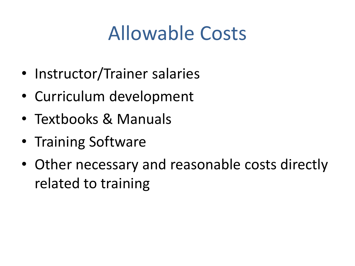### Allowable Costs

- Instructor/Trainer salaries
- Curriculum development
- Textbooks & Manuals
- Training Software
- Other necessary and reasonable costs directly related to training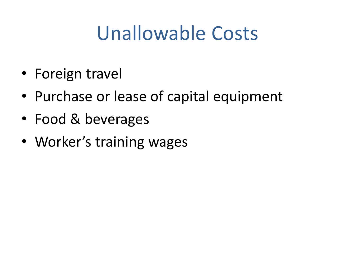### Unallowable Costs

- Foreign travel
- Purchase or lease of capital equipment
- Food & beverages
- Worker's training wages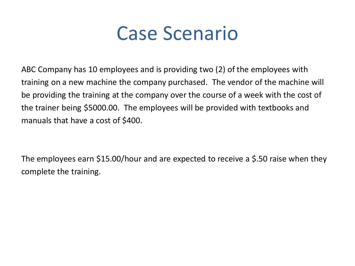

ABC Company has 10 employees and is providing two (2) of the employees with training on a new machine the company purchased. The vendor of the machine will be providing the training at the company over the course of a week with the cost of the trainer being \$5000.00. The employees will be provided with textbooks and manuals that have a cost of \$400.

The employees earn \$15.00/hour and are expected to receive a \$.50 raise when they complete the training.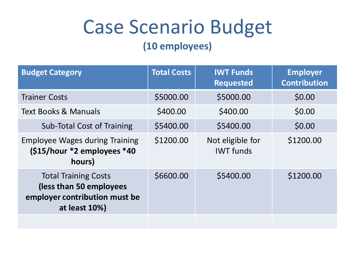### Case Scenario Budget

#### **(10 employees)**

| <b>Budget Category</b>                                                                                   | <b>Total Costs</b> | <b>IWT Funds</b><br><b>Requested</b> | <b>Employer</b><br><b>Contribution</b> |
|----------------------------------------------------------------------------------------------------------|--------------------|--------------------------------------|----------------------------------------|
| <b>Trainer Costs</b>                                                                                     | \$5000.00          | \$5000.00                            | \$0.00                                 |
| <b>Text Books &amp; Manuals</b>                                                                          | \$400.00           | \$400.00                             | \$0.00                                 |
| <b>Sub-Total Cost of Training</b>                                                                        | \$5400.00          | \$5400.00                            | \$0.00                                 |
| <b>Employee Wages during Training</b><br>$(S15/hour *2$ employees *40<br>hours)                          | \$1200.00          | Not eligible for<br><b>IWT</b> funds | \$1200.00                              |
| <b>Total Training Costs</b><br>(less than 50 employees<br>employer contribution must be<br>at least 10%) | \$6600.00          | \$5400.00                            | \$1200.00                              |
|                                                                                                          |                    |                                      |                                        |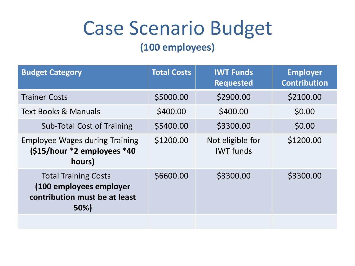### Case Scenario Budget

#### **(100 employees)**

| <b>Budget Category</b>                                                                          | <b>Total Costs</b> | <b>IWT Funds</b><br><b>Requested</b> | <b>Employer</b><br><b>Contribution</b> |
|-------------------------------------------------------------------------------------------------|--------------------|--------------------------------------|----------------------------------------|
| <b>Trainer Costs</b>                                                                            | \$5000.00          | \$2900.00                            | \$2100.00                              |
| <b>Text Books &amp; Manuals</b>                                                                 | \$400.00           | \$400.00                             | \$0.00                                 |
| <b>Sub-Total Cost of Training</b>                                                               | \$5400.00          | \$3300.00                            | \$0.00                                 |
| <b>Employee Wages during Training</b><br>$(S15/hour *2$ employees *40<br>hours)                 | \$1200.00          | Not eligible for<br><b>IWT</b> funds | \$1200.00                              |
| <b>Total Training Costs</b><br>(100 employees employer<br>contribution must be at least<br>50%) | \$6600.00          | \$3300.00                            | \$3300.00                              |
|                                                                                                 |                    |                                      |                                        |